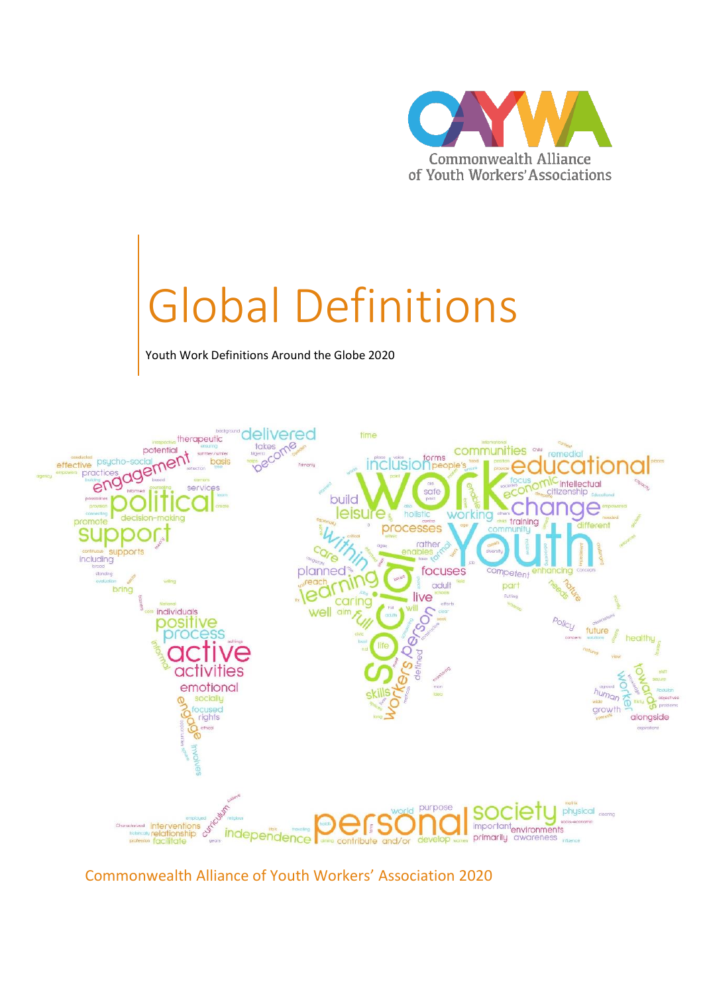

# Global Definitions

Youth Work Definitions Around the Globe 2020



Commonwealth Alliance of Youth Workers' Association 2020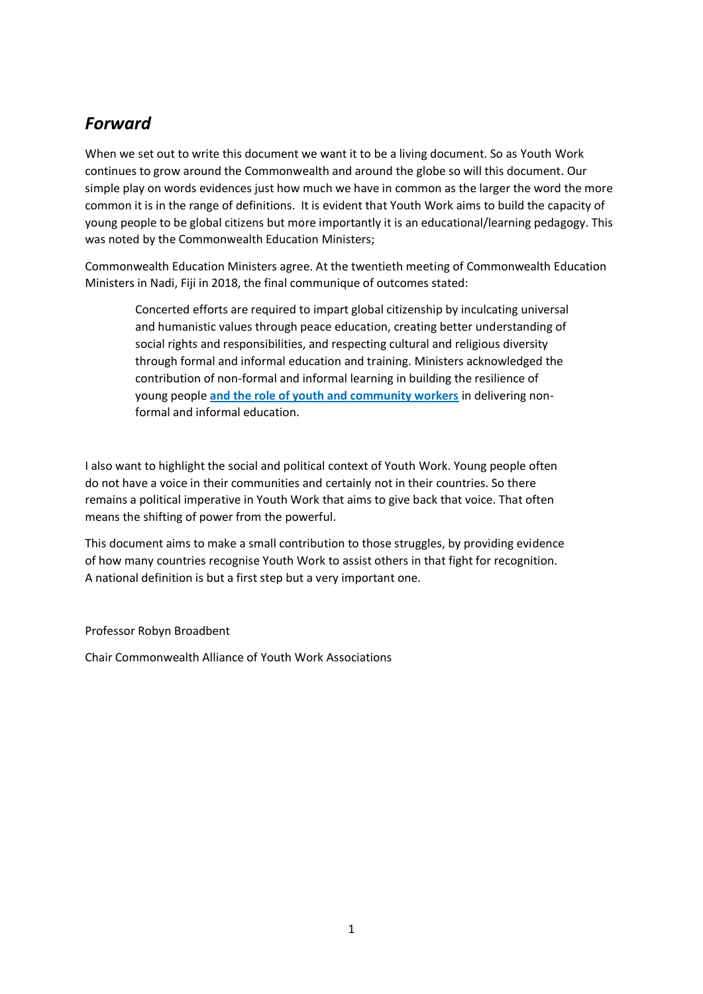#### *Forward*

When we set out to write this document we want it to be a living document. So as Youth Work continues to grow around the Commonwealth and around the globe so will this document. Our simple play on words evidences just how much we have in common as the larger the word the more common it is in the range of definitions. It is evident that Youth Work aims to build the capacity of young people to be global citizens but more importantly it is an educational/learning pedagogy. This was noted by the Commonwealth Education Ministers;

Commonwealth Education Ministers agree. At the twentieth meeting of Commonwealth Education Ministers in Nadi, Fiji in 2018, the final communique of outcomes stated:

Concerted efforts are required to impart global citizenship by inculcating universal and humanistic values through peace education, creating better understanding of social rights and responsibilities, and respecting cultural and religious diversity through formal and informal education and training. Ministers acknowledged the contribution of non-formal and informal learning in building the resilience of young people **and the role of youth and community workers** in delivering nonformal and informal education.

I also want to highlight the social and political context of Youth Work. Young people often do not have a voice in their communities and certainly not in their countries. So there remains a political imperative in Youth Work that aims to give back that voice. That often means the shifting of power from the powerful.

This document aims to make a small contribution to those struggles, by providing evidence of how many countries recognise Youth Work to assist others in that fight for recognition. A national definition is but a first step but a very important one.

Professor Robyn Broadbent

Chair Commonwealth Alliance of Youth Work Associations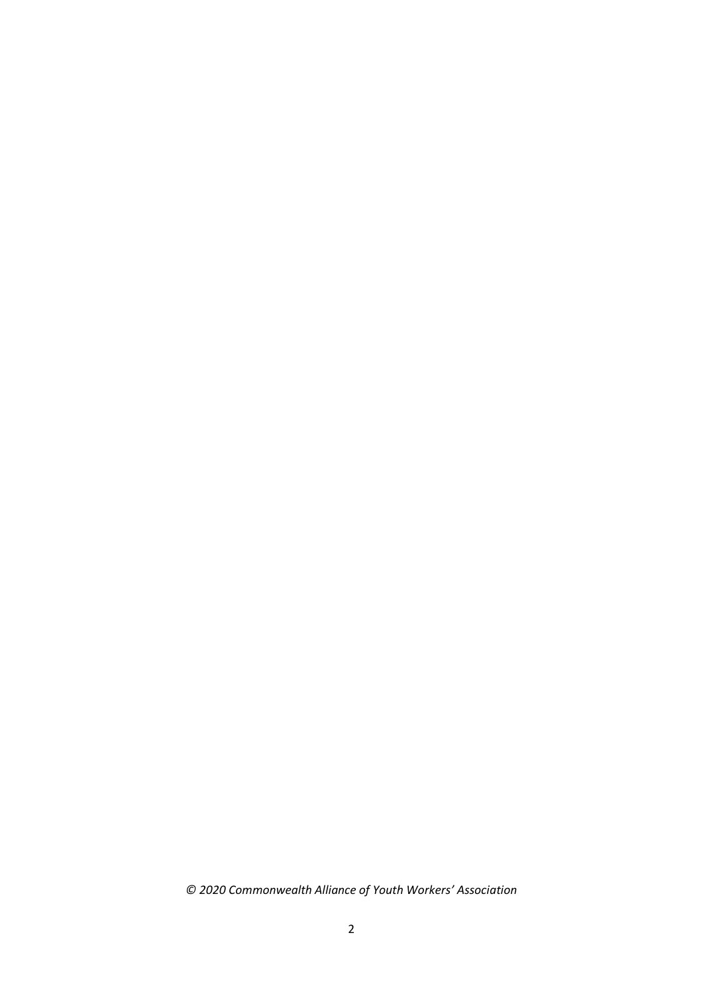*© 2020 Commonwealth Alliance of Youth Workers' Association*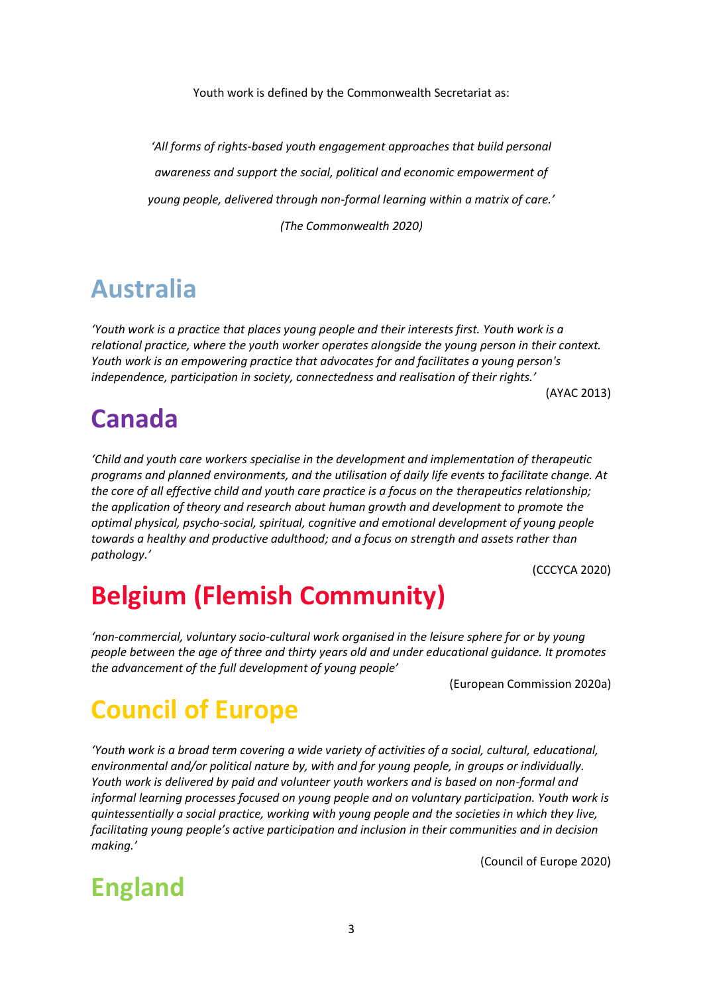Youth work is defined by the Commonwealth Secretariat as:

*'All forms of rights-based youth engagement approaches that build personal awareness and support the social, political and economic empowerment of young people, delivered through non-formal learning within a matrix of care.' (The Commonwealth 2020)*

#### **Australia**

*'Youth work is a practice that places young people and their interests first. Youth work is a relational practice, where the youth worker operates alongside the young person in their context. Youth work is an empowering practice that advocates for and facilitates a young person's independence, participation in society, connectedness and realisation of their rights.'*

#### **Canada**

*'Child and youth care workers specialise in the development and implementation of therapeutic programs and planned environments, and the utilisation of daily life events to facilitate change. At the core of all effective child and youth care practice is a focus on the therapeutics relationship; the application of theory and research about human growth and development to promote the optimal physical, psycho-social, spiritual, cognitive and emotional development of young people towards a healthy and productive adulthood; and a focus on strength and assets rather than pathology.'* 

(CCCYCA 2020)

(AYAC 2013)

#### **Belgium (Flemish Community)**

*'non-commercial, voluntary socio-cultural work organised in the leisure sphere for or by young people between the age of three and thirty years old and under educational guidance. It promotes the advancement of the full development of young people'*

(European Commission 2020a)

#### **Council of Europe**

*'Youth work is a broad term covering a wide variety of activities of a social, cultural, educational, environmental and/or political nature by, with and for young people, in groups or individually. Youth work is delivered by paid and volunteer youth workers and is based on non-formal and informal learning processes focused on young people and on voluntary participation. Youth work is quintessentially a social practice, working with young people and the societies in which they live, facilitating young people's active participation and inclusion in their communities and in decision making.'*

(Council of Europe 2020)

# **England**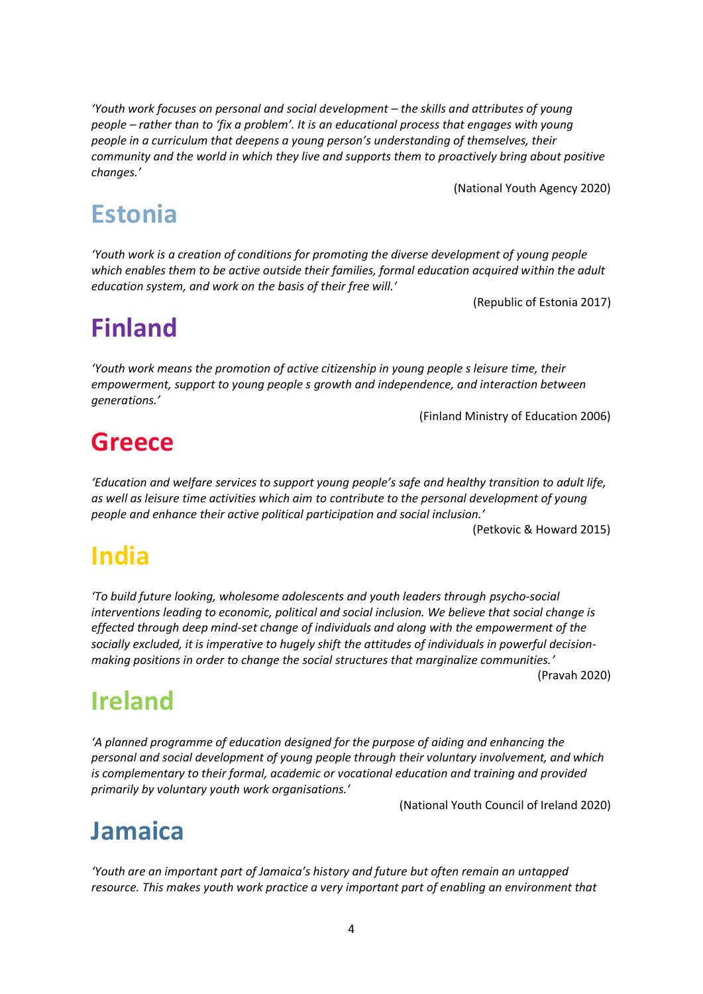*'Youth work focuses on personal and social development – the skills and attributes of young people – rather than to 'fix a problem'. It is an educational process that engages with young people in a curriculum that deepens a young person's understanding of themselves, their community and the world in which they live and supports them to proactively bring about positive changes.'*

(National Youth Agency 2020)

# **Estonia**

*'Youth work is a creation of conditions for promoting the diverse development of young people which enables them to be active outside their families, formal education acquired within the adult education system, and work on the basis of their free will.'*

(Republic of Estonia 2017)

# **Finland**

*'Youth work means the promotion of active citizenship in young people s leisure time, their empowerment, support to young people s growth and independence, and interaction between generations.'*

(Finland Ministry of Education 2006)

# **Greece**

*'Education and welfare services to support young people's safe and healthy transition to adult life, as well as leisure time activities which aim to contribute to the personal development of young people and enhance their active political participation and social inclusion.'*

#### (Petkovic & Howard 2015)

# **India**

*'To build future looking, wholesome adolescents and youth leaders through psycho-social interventions leading to economic, political and social inclusion. We believe that social change is effected through deep mind-set change of individuals and along with the empowerment of the socially excluded, it is imperative to hugely shift the attitudes of individuals in powerful decisionmaking positions in order to change the social structures that marginalize communities.'*

(Pravah 2020)

#### **Ireland**

*'A planned programme of education designed for the purpose of aiding and enhancing the personal and social development of young people through their voluntary involvement, and which is complementary to their formal, academic or vocational education and training and provided primarily by voluntary youth work organisations.'*

(National Youth Council of Ireland 2020)

#### **Jamaica**

*'Youth are an important part of Jamaica's history and future but often remain an untapped resource. This makes youth work practice a very important part of enabling an environment that*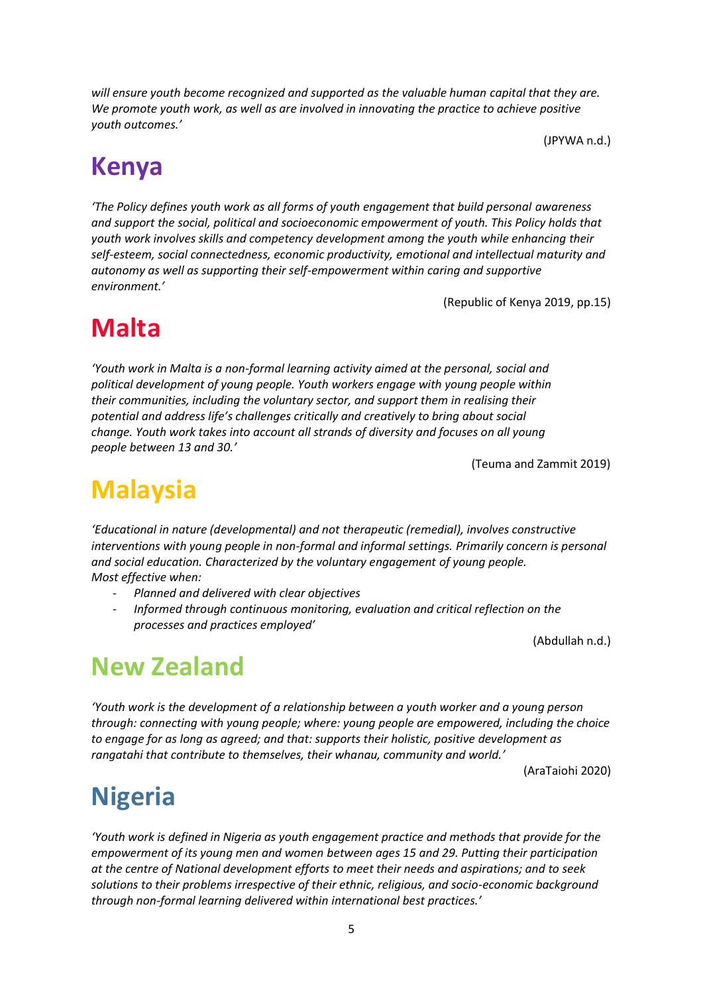*will ensure youth become recognized and supported as the valuable human capital that they are. We promote youth work, as well as are involved in innovating the practice to achieve positive youth outcomes.'* 

(JPYWA n.d.)

#### **Kenya**

*'The Policy defines youth work as all forms of youth engagement that build personal awareness and support the social, political and socioeconomic empowerment of youth. This Policy holds that youth work involves skills and competency development among the youth while enhancing their self-esteem, social connectedness, economic productivity, emotional and intellectual maturity and autonomy as well as supporting their self-empowerment within caring and supportive environment.'*

(Republic of Kenya 2019, pp.15)

#### **Malta**

*'Youth work in Malta is a non-formal learning activity aimed at the personal, social and political development of young people. Youth workers engage with young people within their communities, including the voluntary sector, and support them in realising their potential and address life's challenges critically and creatively to bring about social change. Youth work takes into account all strands of diversity and focuses on all young people between 13 and 30.'*

(Teuma and Zammit 2019)

#### **Malaysia**

*'Educational in nature (developmental) and not therapeutic (remedial), involves constructive*  interventions with young people in non-formal and informal settings. Primarily concern is personal *and social education. Characterized by the voluntary engagement of young people. Most effective when:* 

- *Planned and delivered with clear objectives*
- *Informed through continuous monitoring, evaluation and critical reflection on the processes and practices employed'*

(Abdullah n.d.)

# **New Zealand**

*'Youth work is the development of a relationship between a youth worker and a young person through: connecting with young people; where: young people are empowered, including the choice to engage for as long as agreed; and that: supports their holistic, positive development as rangatahi that contribute to themselves, their whanau, community and world.'*

(AraTaiohi 2020)

# **Nigeria**

*'Youth work is defined in Nigeria as youth engagement practice and methods that provide for the empowerment of its young men and women between ages 15 and 29. Putting their participation at the centre of National development efforts to meet their needs and aspirations; and to seek solutions to their problems irrespective of their ethnic, religious, and socio-economic background through non-formal learning delivered within international best practices.'*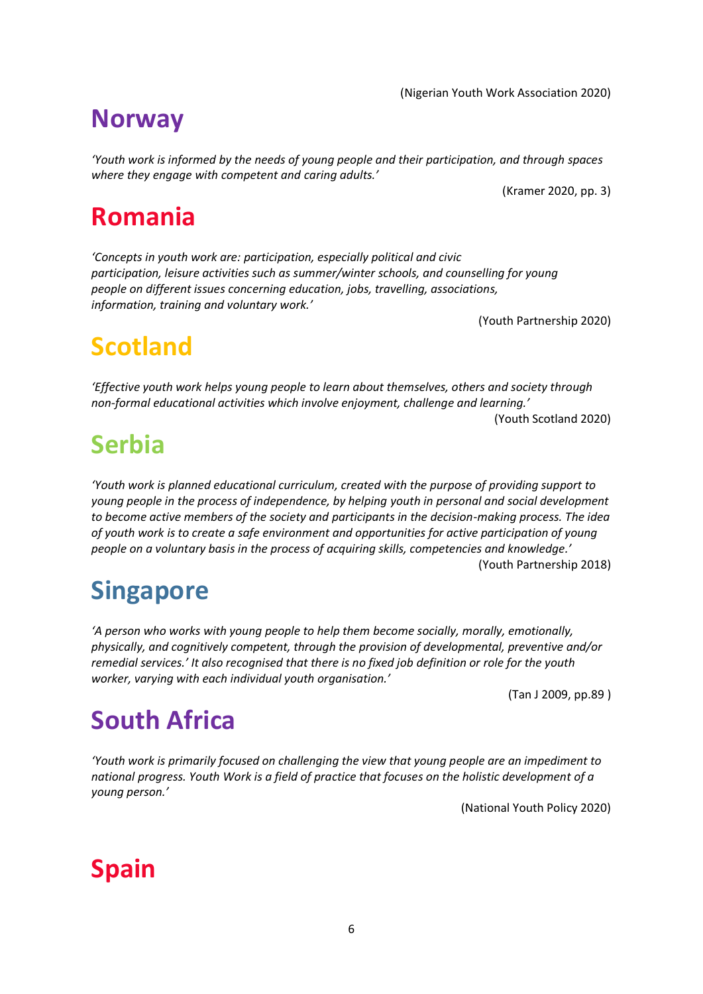6

(Nigerian Youth Work Association 2020)

*'Youth work is informed by the needs of young people and their participation, and through spaces where they engage with competent and caring adults.'*

(Kramer 2020, pp. 3)

#### **Romania**

*'Concepts in youth work are: participation, especially political and civic participation, leisure activities such as summer/winter schools, and counselling for young people on different issues concerning education, jobs, travelling, associations, information, training and voluntary work.'*

(Youth Partnership 2020)

# **Scotland**

*'Effective youth work helps young people to learn about themselves, others and society through non-formal educational activities which involve enjoyment, challenge and learning.'*

(Youth Scotland 2020)

# **Serbia**

*'Youth work is planned educational curriculum, created with the purpose of providing support to young people in the process of independence, by helping youth in personal and social development to become active members of the society and participants in the decision-making process. The idea of youth work is to create a safe environment and opportunities for active participation of young people on a voluntary basis in the process of acquiring skills, competencies and knowledge.'* (Youth Partnership 2018)

# **Singapore**

*'A person who works with young people to help them become socially, morally, emotionally, physically, and cognitively competent, through the provision of developmental, preventive and/or remedial services.' It also recognised that there is no fixed job definition or role for the youth worker, varying with each individual youth organisation.'*

(Tan J 2009, pp.89 )

# **South Africa**

*'Youth work is primarily focused on challenging the view that young people are an impediment to national progress. Youth Work is a field of practice that focuses on the holistic development of a young person.'*

(National Youth Policy 2020)

# **Spain**

#### **Norway**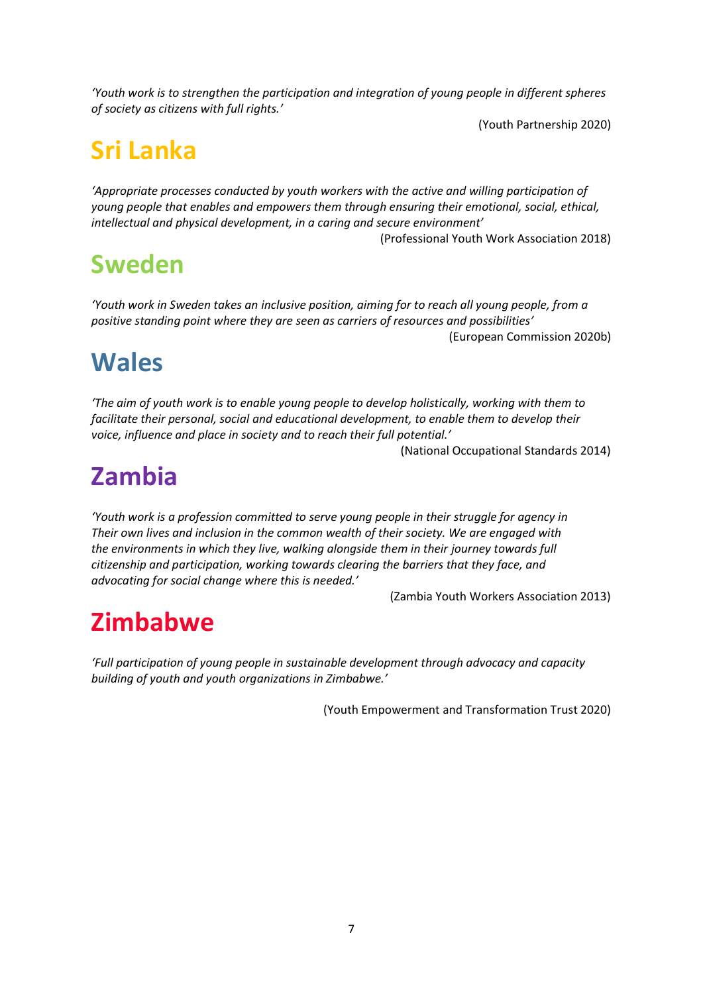*'Youth work is to strengthen the participation and integration of young people in different spheres of society as citizens with full rights.'*

(Youth Partnership 2020)

# **Sri Lanka**

*'Appropriate processes conducted by youth workers with the active and willing participation of young people that enables and empowers them through ensuring their emotional, social, ethical, intellectual and physical development, in a caring and secure environment'*

(Professional Youth Work Association 2018)

# **Sweden**

*'Youth work in Sweden takes an inclusive position, aiming for to reach all young people, from a positive standing point where they are seen as carriers of resources and possibilities'*

(European Commission 2020b)

#### **Wales**

*'The aim of youth work is to enable young people to develop holistically, working with them to facilitate their personal, social and educational development, to enable them to develop their voice, influence and place in society and to reach their full potential.'*

(National Occupational Standards 2014)

# **Zambia**

*'Youth work is a profession committed to serve young people in their struggle for agency in Their own lives and inclusion in the common wealth of their society. We are engaged with the environments in which they live, walking alongside them in their journey towards full citizenship and participation, working towards clearing the barriers that they face, and advocating for social change where this is needed.'*

(Zambia Youth Workers Association 2013)

# **Zimbabwe**

*'Full participation of young people in sustainable development through advocacy and capacity building of youth and youth organizations in Zimbabwe.'*

(Youth Empowerment and Transformation Trust 2020)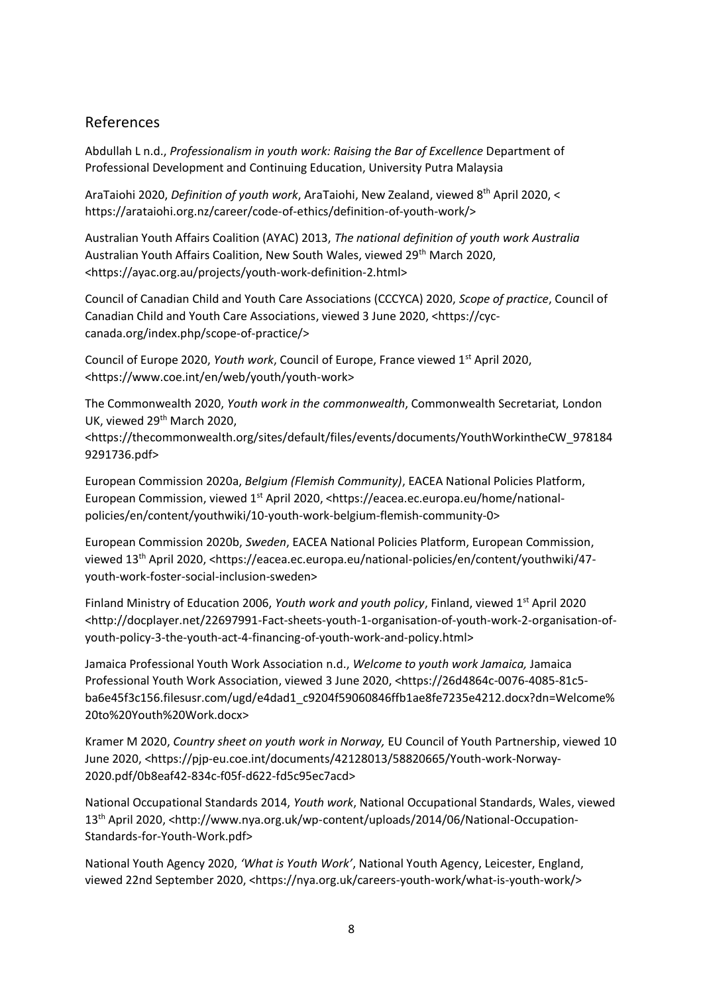#### References

Abdullah L n.d., *Professionalism in youth work: Raising the Bar of Excellence* Department of Professional Development and Continuing Education, University Putra Malaysia

AraTaiohi 2020, *Definition of youth work*, AraTaiohi, New Zealand, viewed 8th April 2020, < https://arataiohi.org.nz/career/code-of-ethics/definition-of-youth-work/>

Australian Youth Affairs Coalition (AYAC) 2013, *The national definition of youth work Australia* Australian Youth Affairs Coalition, New South Wales, viewed 29<sup>th</sup> March 2020, <https://ayac.org.au/projects/youth-work-definition-2.html>

Council of Canadian Child and Youth Care Associations (CCCYCA) 2020, *Scope of practice*, Council of Canadian Child and Youth Care Associations, viewed 3 June 2020, <https://cyccanada.org/index.php/scope-of-practice/>

Council of Europe 2020, *Youth work*, Council of Europe, France viewed 1st April 2020, <https://www.coe.int/en/web/youth/youth-work>

The Commonwealth 2020, *Youth work in the commonwealth*, Commonwealth Secretariat, London UK, viewed 29<sup>th</sup> March 2020,

<https://thecommonwealth.org/sites/default/files/events/documents/YouthWorkintheCW\_978184 9291736.pdf>

European Commission 2020a, *Belgium (Flemish Community)*, EACEA National Policies Platform, European Commission, viewed 1<sup>st</sup> April 2020, <https://eacea.ec.europa.eu/home/nationalpolicies/en/content/youthwiki/10-youth-work-belgium-flemish-community-0>

European Commission 2020b, *Sweden*, EACEA National Policies Platform, European Commission, viewed 13th April 2020, <https://eacea.ec.europa.eu/national-policies/en/content/youthwiki/47 youth-work-foster-social-inclusion-sweden>

Finland Ministry of Education 2006, *Youth work and youth policy*, Finland, viewed 1st April 2020 <http://docplayer.net/22697991-Fact-sheets-youth-1-organisation-of-youth-work-2-organisation-ofyouth-policy-3-the-youth-act-4-financing-of-youth-work-and-policy.html>

Jamaica Professional Youth Work Association n.d., *Welcome to youth work Jamaica,* Jamaica Professional Youth Work Association, viewed 3 June 2020, <https://26d4864c-0076-4085-81c5 ba6e45f3c156.filesusr.com/ugd/e4dad1\_c9204f59060846ffb1ae8fe7235e4212.docx?dn=Welcome% 20to%20Youth%20Work.docx>

Kramer M 2020, *Country sheet on youth work in Norway,* EU Council of Youth Partnership, viewed 10 June 2020, <https://pjp-eu.coe.int/documents/42128013/58820665/Youth-work-Norway-2020.pdf/0b8eaf42-834c-f05f-d622-fd5c95ec7acd>

National Occupational Standards 2014, *Youth work*, National Occupational Standards, Wales, viewed 13th April 2020, <http://www.nya.org.uk/wp-content/uploads/2014/06/National-Occupation-Standards-for-Youth-Work.pdf>

National Youth Agency 2020, *'What is Youth Work'*, National Youth Agency, Leicester, England, viewed 22nd September 2020, <https://nya.org.uk/careers-youth-work/what-is-youth-work/>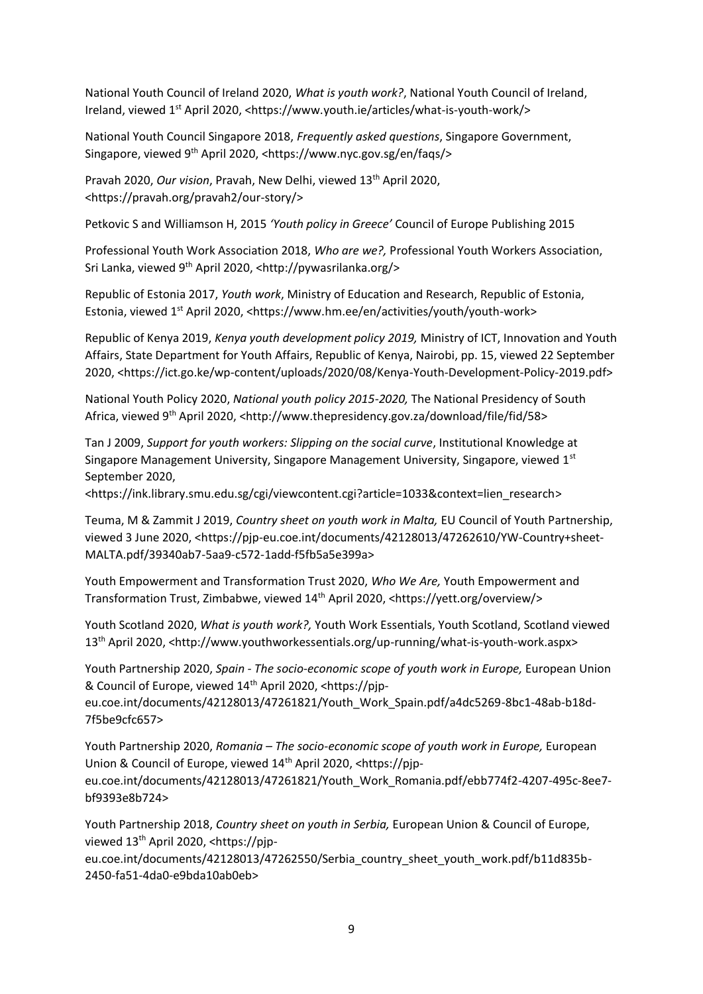National Youth Council of Ireland 2020, *What is youth work?*, National Youth Council of Ireland, Ireland, viewed 1<sup>st</sup> April 2020, <https://www.youth.ie/articles/what-is-youth-work/>

National Youth Council Singapore 2018, *Frequently asked questions*, Singapore Government, Singapore, viewed 9th April 2020, <https://www.nyc.gov.sg/en/faqs/>

Pravah 2020, *Our vision*, Pravah, New Delhi, viewed 13<sup>th</sup> April 2020. <https://pravah.org/pravah2/our-story/>

Petkovic S and Williamson H, 2015 *'Youth policy in Greece'* Council of Europe Publishing 2015

Professional Youth Work Association 2018, *Who are we?,* Professional Youth Workers Association, Sri Lanka, viewed 9th April 2020, <http://pywasrilanka.org/>

Republic of Estonia 2017, *Youth work*, Ministry of Education and Research, Republic of Estonia, Estonia, viewed 1st April 2020, <https://www.hm.ee/en/activities/youth/youth-work>

Republic of Kenya 2019, *Kenya youth development policy 2019,* Ministry of ICT, Innovation and Youth Affairs, State Department for Youth Affairs, Republic of Kenya, Nairobi, pp. 15, viewed 22 September 2020, <https://ict.go.ke/wp-content/uploads/2020/08/Kenya-Youth-Development-Policy-2019.pdf>

National Youth Policy 2020, *National youth policy 2015-2020,* The National Presidency of South Africa, viewed 9th April 2020, <http://www.thepresidency.gov.za/download/file/fid/58>

Tan J 2009, *Support for youth workers: Slipping on the social curve*, Institutional Knowledge at Singapore Management University, Singapore Management University, Singapore, viewed 1st September 2020,

<https://ink.library.smu.edu.sg/cgi/viewcontent.cgi?article=1033&context=lien\_research>

Teuma, M & Zammit J 2019, *Country sheet on youth work in Malta,* EU Council of Youth Partnership, viewed 3 June 2020, <https://pjp-eu.coe.int/documents/42128013/47262610/YW-Country+sheet-MALTA.pdf/39340ab7-5aa9-c572-1add-f5fb5a5e399a>

Youth Empowerment and Transformation Trust 2020, *Who We Are,* Youth Empowerment and Transformation Trust, Zimbabwe, viewed 14th April 2020, <https://yett.org/overview/>

Youth Scotland 2020, *What is youth work?,* Youth Work Essentials, Youth Scotland, Scotland viewed 13th April 2020, <http://www.youthworkessentials.org/up-running/what-is-youth-work.aspx>

Youth Partnership 2020, *Spain - The socio-economic scope of youth work in Europe,* European Union & Council of Europe, viewed 14th April 2020, <https://pjp-

eu.coe.int/documents/42128013/47261821/Youth\_Work\_Spain.pdf/a4dc5269-8bc1-48ab-b18d-7f5be9cfc657>

Youth Partnership 2020, *Romania – The socio-economic scope of youth work in Europe,* European Union & Council of Europe, viewed 14<sup>th</sup> April 2020, <https://pjpeu.coe.int/documents/42128013/47261821/Youth\_Work\_Romania.pdf/ebb774f2-4207-495c-8ee7 bf9393e8b724>

Youth Partnership 2018, *Country sheet on youth in Serbia,* European Union & Council of Europe, viewed 13th April 2020, <https://pjp-

eu.coe.int/documents/42128013/47262550/Serbia\_country\_sheet\_youth\_work.pdf/b11d835b-2450-fa51-4da0-e9bda10ab0eb>